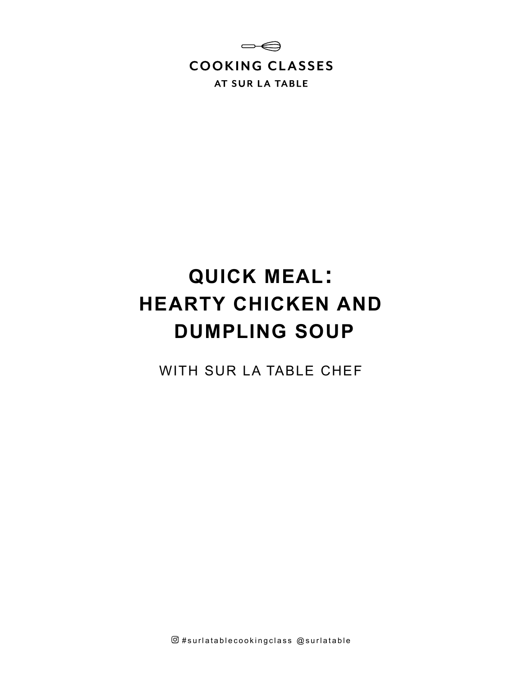

# **QUICK MEAL: HEARTY CHICKEN AND DUMPLING SOUP**

WITH SUR LA TABLE CHEF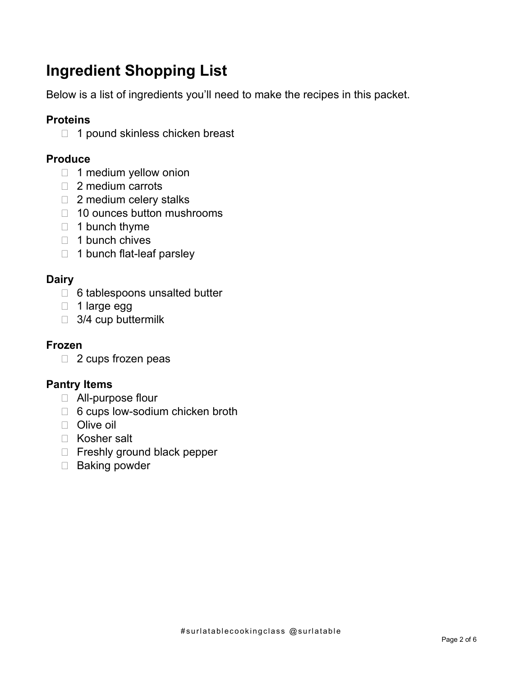# **Ingredient Shopping List**

Below is a list of ingredients you'll need to make the recipes in this packet.

# **Proteins**

 $\Box$  1 pound skinless chicken breast

# **Produce**

- $\Box$  1 medium yellow onion
- □ 2 medium carrots
- □ 2 medium celery stalks
- □ 10 ounces button mushrooms
- $\Box$  1 bunch thyme
- $\Box$  1 bunch chives
- $\Box$  1 bunch flat-leaf parsley

# **Dairy**

- □ 6 tablespoons unsalted butter
- $\Box$  1 large egg
- $\Box$  3/4 cup buttermilk

### **Frozen**

2 cups frozen peas

# **Pantry Items**

- All-purpose flour
- □ 6 cups low-sodium chicken broth
- D Olive oil
- □ Kosher salt
- □ Freshly ground black pepper
- □ Baking powder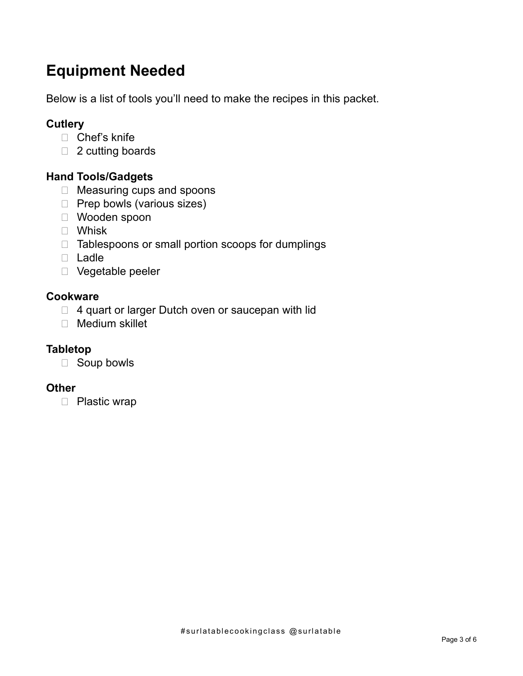# **Equipment Needed**

Below is a list of tools you'll need to make the recipes in this packet.

# **Cutlery**

- □ Chef's knife
- □ 2 cutting boards

### **Hand Tools/Gadgets**

- □ Measuring cups and spoons
- $\Box$  Prep bowls (various sizes)
- Wooden spoon
- Whisk
- $\Box$  Tablespoons or small portion scoops for dumplings
- D Ladle
- Vegetable peeler

#### **Cookware**

- $\Box$  4 quart or larger Dutch oven or saucepan with lid
- Medium skillet

#### **Tabletop**

Soup bowls

#### **Other**

D Plastic wrap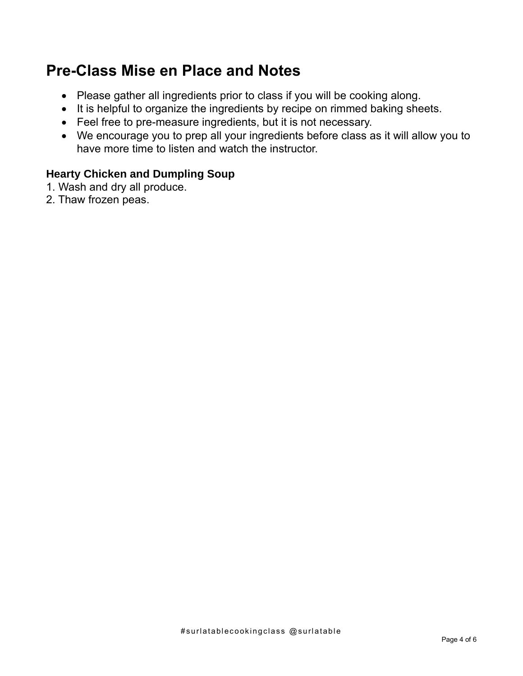# **Pre-Class Mise en Place and Notes**

- Please gather all ingredients prior to class if you will be cooking along.
- It is helpful to organize the ingredients by recipe on rimmed baking sheets.
- Feel free to pre-measure ingredients, but it is not necessary.
- We encourage you to prep all your ingredients before class as it will allow you to have more time to listen and watch the instructor.

## **Hearty Chicken and Dumpling Soup**

- 1. Wash and dry all produce.
- 2. Thaw frozen peas.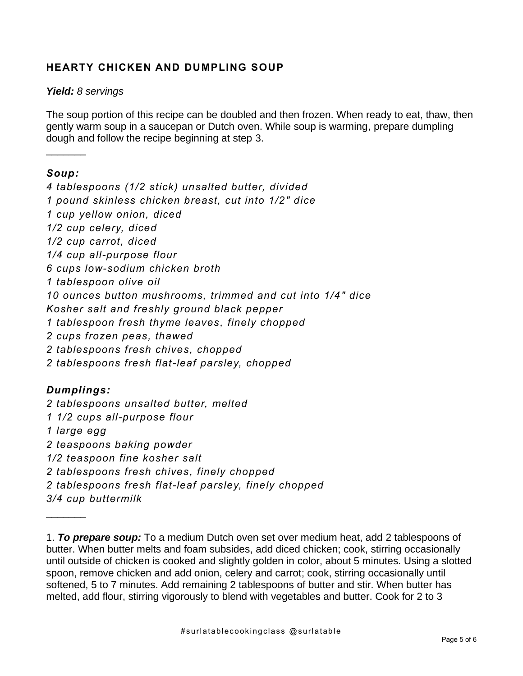### **HEARTY CHICKEN AND DUMPLING SOUP**

#### *Yield: 8 servings*

The soup portion of this recipe can be doubled and then frozen. When ready to eat, thaw, then gently warm soup in a saucepan or Dutch oven. While soup is warming, prepare dumpling dough and follow the recipe beginning at step 3.

#### *Soup :*

 $\frac{1}{2}$ 

*4 tablespoons (1/2 stick) unsalted butter, divided 1 pound skinless chicken breast, cut into 1/2" dice 1 cup yellow onion, diced 1/2 cup celery, diced 1/2 cup carrot, diced 1/4 cup all-purpose flour 6 cups low-sodium chicken broth 1 tablespoon olive oil 10 ounces button mushrooms, trimmed and cut into 1/4" dice Kosher salt and freshly ground black pepper 1 tablespoon fresh thyme leaves, finely chopped 2 cups frozen peas, thawed 2 tablespoons fresh chives, chopped 2 tablespoons fresh flat-leaf parsley, chopped*

#### *Dumplings:*

 $\frac{1}{2}$ 

*2 tablespoons unsalted butter, melted 1 1/2 cups all-purpose flour 1 large egg 2 teaspoons baking powder 1/2 teaspoon fine kosher salt 2 tablespoons fresh chives, finely chopped 2 tablespoons fresh flat-leaf parsley, finely chopped 3/4 cup buttermilk*

<sup>1.</sup> *To prepare soup:* To a medium Dutch oven set over medium heat, add 2 tablespoons of butter. When butter melts and foam subsides, add diced chicken; cook, stirring occasionally until outside of chicken is cooked and slightly golden in color, about 5 minutes. Using a slotted spoon, remove chicken and add onion, celery and carrot; cook, stirring occasionally until softened, 5 to 7 minutes. Add remaining 2 tablespoons of butter and stir. When butter has melted, add flour, stirring vigorously to blend with vegetables and butter. Cook for 2 to 3